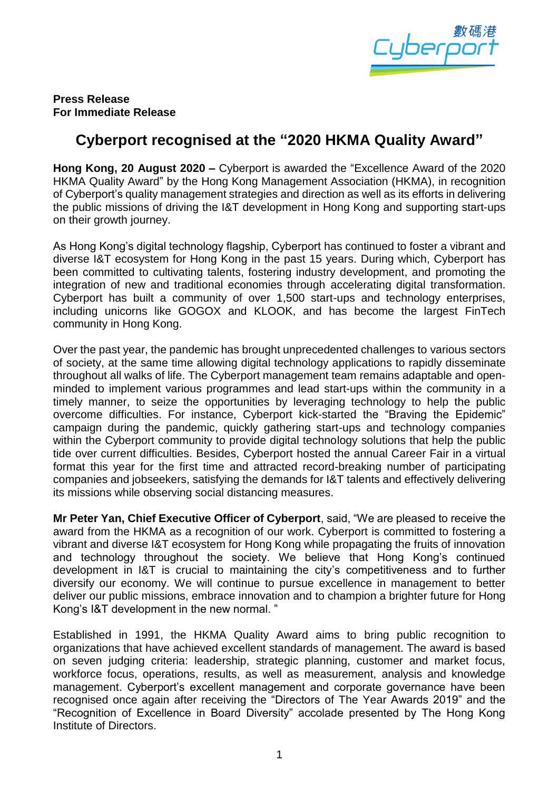

## **Press Release For Immediate Release**

## **Cyberport recognised at the "2020 HKMA Quality Award"**

**Hong Kong, 20 August 2020 –** Cyberport is awarded the "Excellence Award of the 2020 HKMA Quality Award" by the Hong Kong Management Association (HKMA), in recognition of Cyberport's quality management strategies and direction as well as its efforts in delivering the public missions of driving the I&T development in Hong Kong and supporting start-ups on their growth journey.

As Hong Kong's digital technology flagship, Cyberport has continued to foster a vibrant and diverse I&T ecosystem for Hong Kong in the past 15 years. During which, Cyberport has been committed to cultivating talents, fostering industry development, and promoting the integration of new and traditional economies through accelerating digital transformation. Cyberport has built a community of over 1,500 start-ups and technology enterprises, including unicorns like GOGOX and KLOOK, and has become the largest FinTech community in Hong Kong.

Over the past year, the pandemic has brought unprecedented challenges to various sectors of society, at the same time allowing digital technology applications to rapidly disseminate throughout all walks of life. The Cyberport management team remains adaptable and openminded to implement various programmes and lead start-ups within the community in a timely manner, to seize the opportunities by leveraging technology to help the public overcome difficulties. For instance, Cyberport kick-started the "Braving the Epidemic" campaign during the pandemic, quickly gathering start-ups and technology companies within the Cyberport community to provide digital technology solutions that help the public tide over current difficulties. Besides, Cyberport hosted the annual Career Fair in a virtual format this year for the first time and attracted record-breaking number of participating companies and jobseekers, satisfying the demands for I&T talents and effectively delivering its missions while observing social distancing measures.

**Mr Peter Yan, Chief Executive Officer of Cyberport**, said, "We are pleased to receive the award from the HKMA as a recognition of our work. Cyberport is committed to fostering a vibrant and diverse I&T ecosystem for Hong Kong while propagating the fruits of innovation and technology throughout the society. We believe that Hong Kong's continued development in I&T is crucial to maintaining the city's competitiveness and to further diversify our economy. We will continue to pursue excellence in management to better deliver our public missions, embrace innovation and to champion a brighter future for Hong Kong's I&T development in the new normal. "

Established in 1991, the HKMA Quality Award aims to bring public recognition to organizations that have achieved excellent standards of management. The award is based on seven judging criteria: leadership, strategic planning, customer and market focus, workforce focus, operations, results, as well as measurement, analysis and knowledge management. Cyberport's excellent management and corporate governance have been recognised once again after receiving the "Directors of The Year Awards 2019" and the "Recognition of Excellence in Board Diversity" accolade presented by The Hong Kong Institute of Directors.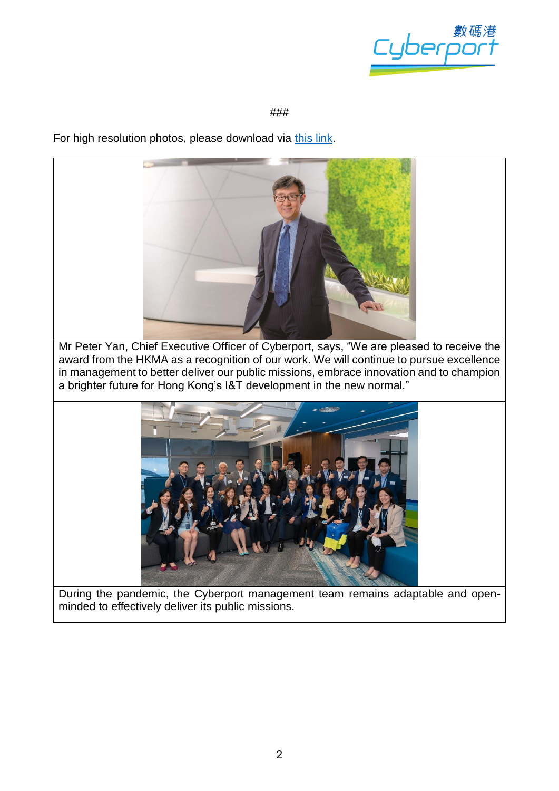

## ###

For high resolution photos, please download via [this link.](https://drive.google.com/drive/folders/17Iz1MwRhpc6Kmmd53Kwi2508OEllRW0F?usp=sharing)



award from the HKMA as a recognition of our work. We will continue to pursue excellence in management to better deliver our public missions, embrace innovation and to champion a brighter future for Hong Kong's I&T development in the new normal."



During the pandemic, the Cyberport management team remains adaptable and openminded to effectively deliver its public missions.